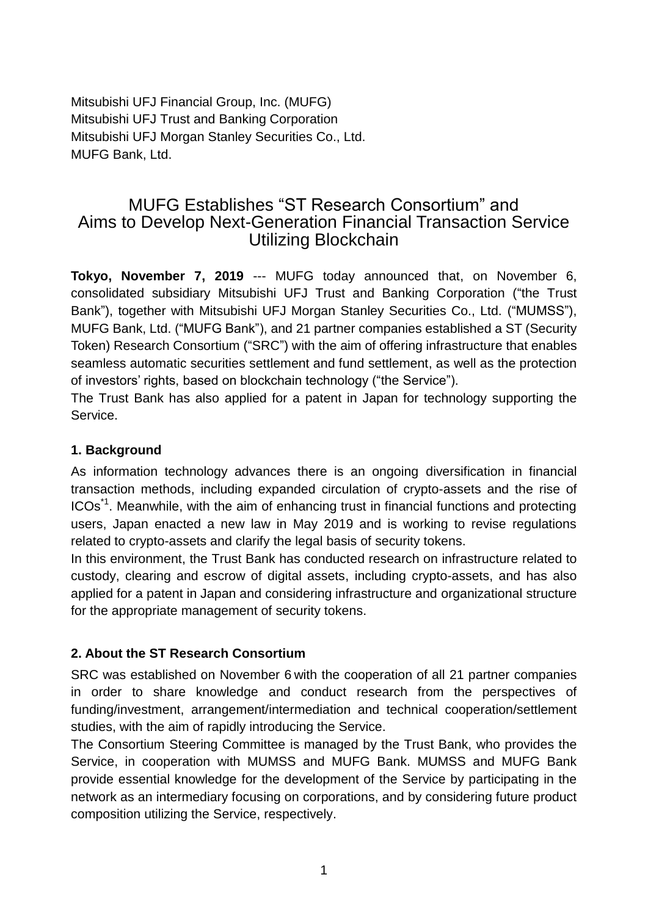Mitsubishi UFJ Financial Group, Inc. (MUFG) Mitsubishi UFJ Trust and Banking Corporation Mitsubishi UFJ Morgan Stanley Securities Co., Ltd. MUFG Bank, Ltd.

# MUFG Establishes "ST Research Consortium" and Aims to Develop Next-Generation Financial Transaction Service Utilizing Blockchain

**Tokyo, November 7, 2019** --- MUFG today announced that, on November 6, consolidated subsidiary Mitsubishi UFJ Trust and Banking Corporation ("the Trust Bank"), together with Mitsubishi UFJ Morgan Stanley Securities Co., Ltd. ("MUMSS"), MUFG Bank, Ltd. ("MUFG Bank"), and 21 partner companies established a ST (Security Token) Research Consortium ("SRC") with the aim of offering infrastructure that enables seamless automatic securities settlement and fund settlement, as well as the protection of investors' rights, based on blockchain technology ("the Service").

The Trust Bank has also applied for a patent in Japan for technology supporting the Service.

### **1. Background**

As information technology advances there is an ongoing diversification in financial transaction methods, including expanded circulation of crypto-assets and the rise of ICOs<sup>\*1</sup>. Meanwhile, with the aim of enhancing trust in financial functions and protecting users, Japan enacted a new law in May 2019 and is working to revise regulations related to crypto-assets and clarify the legal basis of security tokens.

In this environment, the Trust Bank has conducted research on infrastructure related to custody, clearing and escrow of digital assets, including crypto-assets, and has also applied for a patent in Japan and considering infrastructure and organizational structure for the appropriate management of security tokens.

## **2. About the ST Research Consortium**

SRC was established on November 6 with the cooperation of all 21 partner companies in order to share knowledge and conduct research from the perspectives of funding/investment, arrangement/intermediation and technical cooperation/settlement studies, with the aim of rapidly introducing the Service.

The Consortium Steering Committee is managed by the Trust Bank, who provides the Service, in cooperation with MUMSS and MUFG Bank. MUMSS and MUFG Bank provide essential knowledge for the development of the Service by participating in the network as an intermediary focusing on corporations, and by considering future product composition utilizing the Service, respectively.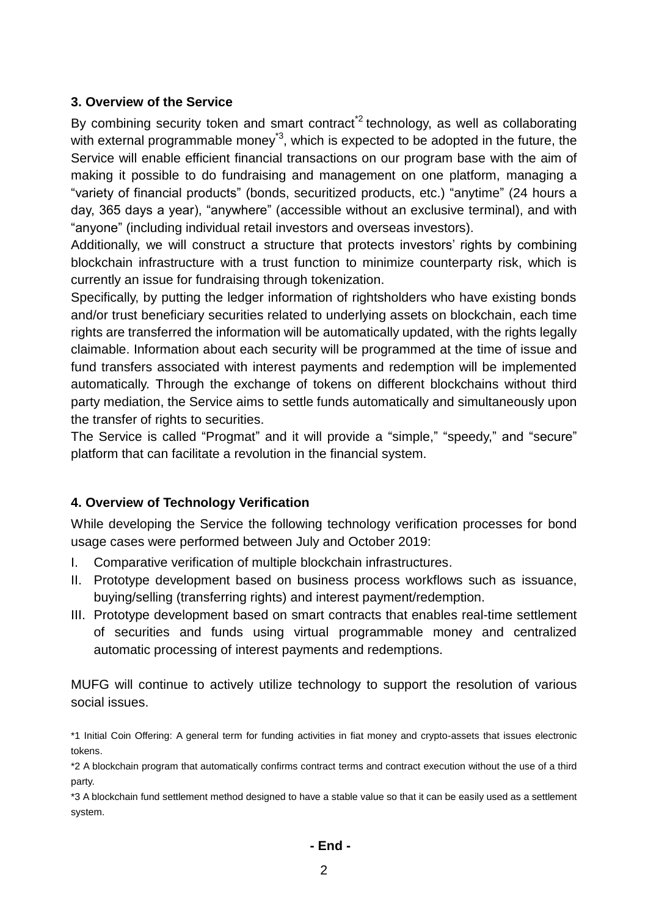#### **3. Overview of the Service**

By combining security token and smart contract<sup>2</sup> technology, as well as collaborating with external programmable money<sup>\*3</sup>, which is expected to be adopted in the future, the Service will enable efficient financial transactions on our program base with the aim of making it possible to do fundraising and management on one platform, managing a "variety of financial products" (bonds, securitized products, etc.) "anytime" (24 hours a day, 365 days a year), "anywhere" (accessible without an exclusive terminal), and with "anyone" (including individual retail investors and overseas investors).

Additionally, we will construct a structure that protects investors' rights by combining blockchain infrastructure with a trust function to minimize counterparty risk, which is currently an issue for fundraising through tokenization.

Specifically, by putting the ledger information of rightsholders who have existing bonds and/or trust beneficiary securities related to underlying assets on blockchain, each time rights are transferred the information will be automatically updated, with the rights legally claimable. Information about each security will be programmed at the time of issue and fund transfers associated with interest payments and redemption will be implemented automatically. Through the exchange of tokens on different blockchains without third party mediation, the Service aims to settle funds automatically and simultaneously upon the transfer of rights to securities.

The Service is called "Progmat" and it will provide a "simple," "speedy," and "secure" platform that can facilitate a revolution in the financial system.

#### **4. Overview of Technology Verification**

While developing the Service the following technology verification processes for bond usage cases were performed between July and October 2019:

- I. Comparative verification of multiple blockchain infrastructures.
- II. Prototype development based on business process workflows such as issuance, buying/selling (transferring rights) and interest payment/redemption.
- III. Prototype development based on smart contracts that enables real-time settlement of securities and funds using virtual programmable money and centralized automatic processing of interest payments and redemptions.

MUFG will continue to actively utilize technology to support the resolution of various social issues.

\*1 Initial Coin Offering: A general term for funding activities in fiat money and crypto-assets that issues electronic tokens.

\*2 A blockchain program that automatically confirms contract terms and contract execution without the use of a third party.

\*3 A blockchain fund settlement method designed to have a stable value so that it can be easily used as a settlement system.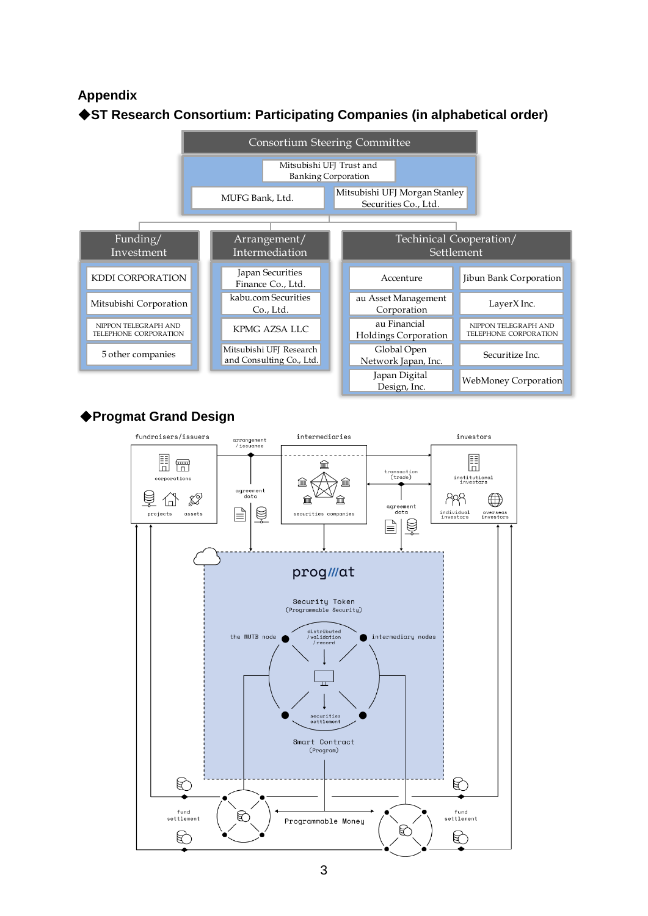#### **Appendix**





#### ◆**Progmat Grand Design**